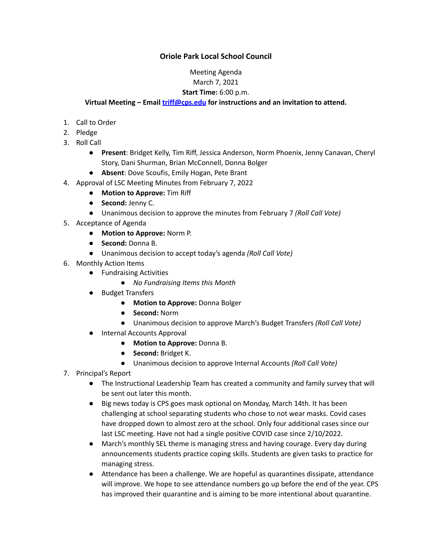## **Oriole Park Local School Council**

# Meeting Agenda

## March 7, 2021

### **Start Time:** 6:00 p.m.

#### **Virtual Meeting – Email [triff@cps.edu](mailto:triff@cps.edu) for instructions and an invitation to attend.**

- 1. Call to Order
- 2. Pledge
- 3. Roll Call
	- **Present**: Bridget Kelly, Tim Riff, Jessica Anderson, Norm Phoenix, Jenny Canavan, Cheryl Story, Dani Shurman, Brian McConnell, Donna Bolger
	- **Absent**: Dove Scoufis, Emily Hogan, Pete Brant
- 4. Approval of LSC Meeting Minutes from February 7, 2022
	- **Motion to Approve:** Tim Riff
	- **Second:** Jenny C.
	- Unanimous decision to approve the minutes from February 7 *(Roll Call Vote)*
- 5. Acceptance of Agenda
	- **Motion to Approve:** Norm P.
	- **Second:** Donna B.
	- Unanimous decision to accept today's agenda *(Roll Call Vote)*
- 6. Monthly Action Items
	- Fundraising Activities
		- *● No Fundraising Items this Month*
	- Budget Transfers
		- **Motion to Approve:** Donna Bolger
		- **Second:** Norm
		- Unanimous decision to approve March's Budget Transfers *(Roll Call Vote)*
	- **Internal Accounts Approval** 
		- **● Motion to Approve:** Donna B.
		- **● Second:** Bridget K.
		- Unanimous decision to approve Internal Accounts *(Roll Call Vote)*
- 7. Principal's Report
	- The Instructional Leadership Team has created a community and family survey that will be sent out later this month.
	- Big news today is CPS goes mask optional on Monday, March 14th. It has been challenging at school separating students who chose to not wear masks. Covid cases have dropped down to almost zero at the school. Only four additional cases since our last LSC meeting. Have not had a single positive COVID case since 2/10/2022.
	- March's monthly SEL theme is managing stress and having courage. Every day during announcements students practice coping skills. Students are given tasks to practice for managing stress.
	- Attendance has been a challenge. We are hopeful as quarantines dissipate, attendance will improve. We hope to see attendance numbers go up before the end of the year. CPS has improved their quarantine and is aiming to be more intentional about quarantine.